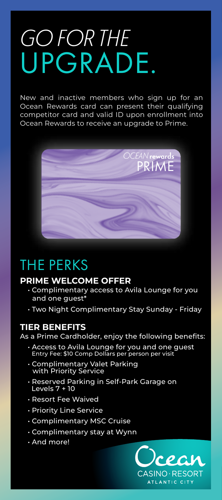# GO FOR THE UPGRADE.

New and inactive members who sign up for an Ocean Rewards card can present their qualifying competitor card and valid ID upon enrollment into Ocean Rewards to receive an upgrade to Prime.



### THE PERKS

#### **PRIME WELCOME OFFER**

- Complimentary access to Avila Lounge for you and one guest\*
- Two Night Complimentary Stay Sunday Friday

### **TIER BENEFITS**

As a Prime Cardholder, enjoy the following benefits:

- Access to Avila Lounge for you and one guest Entry Fee: \$10 Comp Dollars per person per visit
- Complimentary Valet Parking with Priority Service
- Reserved Parking in Self-Park Garage on Levels 7 + 10
- Resort Fee Waived
- Priority Line Service
- Complimentary MSC Cruise
- Complimentary stay at Wynn
- And more!